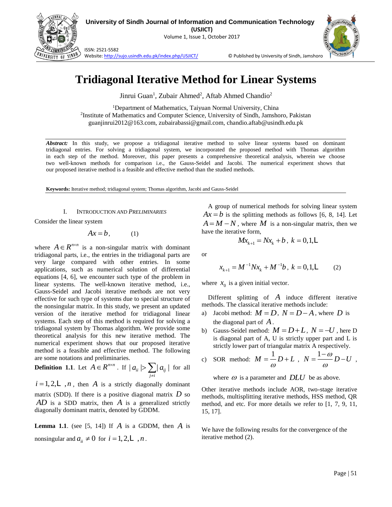

**University of Sindh Journal of Information and Communication Technology (USJICT)**

Volume 1, Issue 1, October 2017



ISSN: 2521-5582 Website[: http://sujo.usindh.edu.pk/index.php/USJICT/](http://sujo.usindh.edu.pk/index.php/USJICT/) © Published by University of Sindh, Jamshoro.

# **Tridiagonal Iterative Method for Linear Systems**

Jinrui Guan<sup>1</sup>, Zubair Ahmed<sup>2</sup>, Aftab Ahmed Chandio<sup>2</sup>

<sup>1</sup>Department of Mathematics, Taiyuan Normal University, China <sup>2</sup>Institute of Mathematics and Computer Science, University of Sindh, Jamshoro, Pakistan guanjinrui2012@163.com, zubairabassi@gmail.com, chandio.aftab@usindh.edu.pk

*Abstract:* In this study, we propose a tridiagonal iterative method to solve linear systems based on dominant tridiagonal entries. For solving a tridiagonal system, we incorporated the proposed method with Thomas algorithm in each step of the method. Moreover, this paper presents a comprehensive theoretical analysis, wherein we choose two well-known methods for comparison i.e., the Gauss-Seidel and Jacobi. The numerical experiment shows that our proposed iterative method is a feasible and effective method than the studied methods.

**Keywords:** Iterative method; tridiagonal system; Thomas algorithm, Jacobi and Gauss-Seidel

# I. INTRODUCTION *AND PRELIMINARIES*

Consider the linear system

$$
Ax = b, \qquad (1)
$$

where  $A \in \mathbb{R}^{n \times n}$  is a non-singular matrix with dominant tridiagonal parts, i.e., the entries in the tridiagonal parts are very large compared with other entries. In some applications, such as numerical solution of differential equations [4, 6], we encounter such type of the problem in linear systems. The well-known iterative method, i.e., Gauss-Seidel and Jacobi iterative methods are not very effective for such type of systems due to special structure of the nonsingular matrix. In this study, we present an updated version of the iterative method for tridiagonal linear systems. Each step of this method is required for solving a tridiagonal system by Thomas algorithm. We provide some theoretical analysis for this new iterative method. The numerical experiment shows that our proposed iterative method is a feasible and effective method. The following are some notations and preliminaries.

**Definition 1.1**. Let 
$$
\hat{A} \in R^{n \times n}
$$
. If  $|a_{ii}| > \sum_{j \neq i} |a_{ij}|$  for all

 $i = 1, 2, \ldots, n$ , then A is a strictly diagonally dominant matrix (SDD). If there is a positive diagonal matrix *D* so *AD* is a SDD matrix, then *A* is a generalized strictly diagonally dominant matrix, denoted by GDDM.

**Lemma 1.1.** (see [5, 14]) If  $\vec{A}$  is a GDDM, then  $\vec{A}$  is nonsingular and  $a_{ii} \neq 0$  for  $i = 1, 2, \ldots, n$ .

A group of numerical methods for solving linear system  $Ax = b$  is the splitting methods as follows [6, 8, 14]. Let  $A = M - N$ , where M is a non-singular matrix, then we have the iterative form,

$$
Mx_{k+1} = Nx_k + b, \ k = 0, 1, \lfloor
$$

or

$$
x_{k+1} = M^{-1} N x_k + M^{-1} b, \ k = 0, 1, \lfloor \tag{2}
$$

where  $x_0$  is a given initial vector.

Different splitting of *A* induce different iterative methods. The classical iterative methods include:

- a) Jacobi method:  $M = D$ ,  $N = D A$ , where D is the diagonal part of *A*.
- b) Gauss-Seidel method:  $M = D + L$ ,  $N = -U$ , here D is diagonal part of A, U is strictly upper part and L is strictly lower part of triangular matrix A respectively.

c) SOR method: 
$$
M = \frac{1}{\omega}D + L
$$
,  $N = \frac{1-\omega}{\omega}D - U$ ,

where  $\omega$  is a parameter and  $DLU$  be as above.

Other iterative methods include AOR, two-stage iterative methods, multisplitting iterative methods, HSS method, QR method, and etc. For more details we refer to [1, 7, 9, 11, 15, 17].

We have the following results for the convergence of the iterative method (2).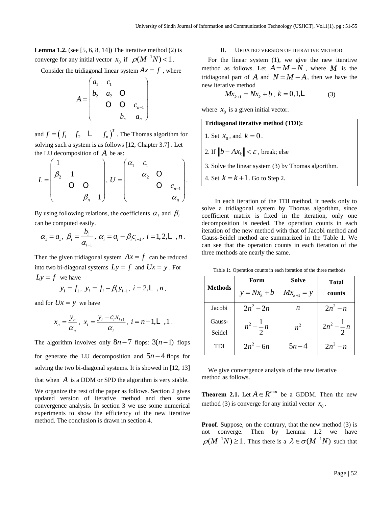**Lemma 1.2.** (see [5, 6, 8, 14]) The iterative method (2) is converge for any initial vector  $x_0$  if  $\rho(M^{-1}N)$  < 1.

Consider the tridiagonal linear system  $Ax = f$ , where

$$
A = \begin{pmatrix} a_1 & c_1 & & & \\ b_2 & a_2 & 0 & & \\ & 0 & 0 & c_{n-1} & \\ & & b_n & a_n \end{pmatrix}
$$

and  $f = (f_1 \quad f_2 \quad \sqsubset \quad f_n)^T$  $f = (f_1 \quad f_2 \quad \sqsubset \quad f_n)$  The Thomas algorithm for solving such a system is as follows [12, Chapter 3.7] . Let the LU decomposition of *A* be as:

$$
L = \begin{pmatrix} 1 & & & \\ \beta_2 & 1 & & \\ & \bigcirc & \bigcirc & \\ & & \beta_n & 1 \end{pmatrix}, U = \begin{pmatrix} \alpha_1 & c_1 & & \\ & \alpha_2 & \bigcirc & \\ & & \bigcirc & c_{n-1} \\ & & & \alpha_n \end{pmatrix}
$$

By using following relations, the coefficients  $\alpha_i$  and  $\beta_i$ can be computed easily.

$$
\alpha_1 = a_1, \ \beta_i = \frac{b_i}{\alpha_{i-1}}, \ \alpha_i = a_i - \beta_i c_{i-1}, \ i = 1, 2, \ldots, n.
$$

Then the given tridiagonal system  $Ax = f$  can be reduced into two bi-diagonal systems  $Ly = f$  and  $Ux = y$ . For  $Ly = f$  we have

$$
y_1 = f_1, y_i = f_i - \beta_i y_{i-1}, i = 2, \perp, n
$$

and for  $Ux = y$  we have

$$
x_n = \frac{y_n}{\alpha_n}, \ x_i = \frac{y_i - c_i x_{i+1}}{\alpha_i}, \ i = n-1, \dots, 1.
$$

The algorithm involves only  $8n-7$  flops:  $3(n-1)$  flops for generate the LU decomposition and  $5n - 4$  flops for solving the two bi-diagonal systems. It is showed in [12, 13] that when *A* is a DDM or SPD the algorithm is very stable. We organize the rest of the paper as follows. Section 2 gives updated version of iterative method and then some convergence analysis. In section 3 we use some numerical experiments to show the efficiency of the new iterative

method. The conclusion is drawn in section 4.

#### II. UPDATED VERSION OF ITERATIVE METHOD

For the linear system (1), we give the new iterative method as follows. Let  $A = M - N$ , where M is the tridiagonal part of A and  $N = M - A$ , then we have the new iterative method

$$
Mx_{k+1} = Nx_k + b, \ k = 0, 1, \mathcal{L}
$$
 (3)

where  $x_0$  is a given initial vector.

.

# **Tridiagonal iterative method (TDI):** 1. Set  $x_0$ , and  $k = 0$ .

2. If  $\|b - Ax_k\| < \varepsilon$ , break; else 3. Solve the linear system (3) by Thomas algorithm. 4. Set  $k = k + 1$ . Go to Step 2.

In each iteration of the TDI method, it needs only to solve a tridiagonal system by Thomas algorithm, since coefficient matrix is fixed in the iteration, only one decomposition is needed. The operation counts in each iteration of the new method with that of Jacobi method and Gauss-Seidel method are summarized in the Table 1. We can see that the operation counts in each iteration of the three methods are nearly the same.

Table 1:. Operation counts in each iteration of the three methods

| <b>Methods</b> | Form                 | Solve          | Total                 |
|----------------|----------------------|----------------|-----------------------|
|                | $y = Nx_k + b$       | $Mx_{k+1} = y$ | counts                |
| Jacobi         | $2n^2 - 2n$          | n              | $2n^2 - n$            |
| Gauss-         | $n^2 - \frac{1}{2}n$ | $n^2$          | $2n^2 - \frac{1}{2}n$ |
| Seidel         |                      |                |                       |
| TDI            | $2n^2 - 6n$          | $5n - 4$       | $2n^2 - n$            |

We give convergence analysis of the new iterative method as follows.

**Theorem 2.1.** Let  $A \in R^{n \times n}$  be a GDDM. Then the new method (3) is converge for any initial vector  $x_0$ .

**Proof.** Suppose, on the contrary, that the new method (3) is not converge. Then by Lemma 1.2 we have  $\rho(M^{-1}N) \ge 1$ . Thus there is a  $\lambda \in \sigma(M^{-1}N)$  such that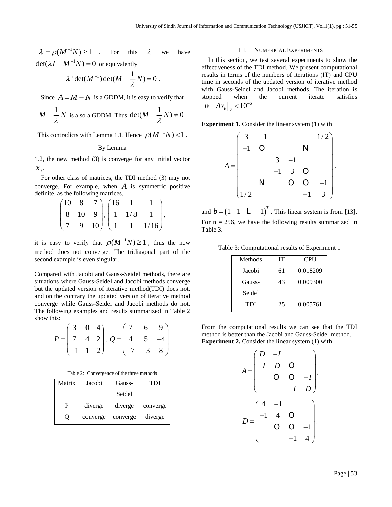$|\lambda| = \rho(M^{-1}N) \ge 1$  . For this λ we have  $\det(\lambda I - M^{-1}N) = 0$  or equivalently

$$
\lambda^n \det(M^{-1}) \det(M - \frac{1}{\lambda} N) = 0.
$$

Since  $A = M - N$  is a GDDM, it is easy to verify that

$$
M - \frac{1}{\lambda} N
$$
 is also a GDDM. Thus  $det(M - \frac{1}{\lambda} N) \neq 0$ .

This contradicts with Lemma 1.1. Hence  $\rho(M^{-1}N)$  < 1.

# By Lemma

1.2, the new method (3) is converge for any initial vector  $x_{0}$ .

For other class of matrices, the TDI method (3) may not converge. For example, when *A* is symmetric positive definite, as the following matrices,

$$
\begin{pmatrix} 10 & 8 & 7 \ 8 & 10 & 9 \ 7 & 9 & 10 \end{pmatrix}, \begin{pmatrix} 16 & 1 & 1 \ 1 & 1/8 & 1 \ 1 & 1 & 1/16 \end{pmatrix},
$$

it is easy to verify that  $\rho(M^{-1}N) \ge 1$ , thus the new method does not converge. The tridiagonal part of the second example is even singular.

Compared with Jacobi and Gauss-Seidel methods, there are situations where Gauss-Seidel and Jacobi methods converge but the updated version of iterative method(TDI) does not, and on the contrary the updated version of iterative method converge while Gauss-Seidel and Jacobi methods do not. The following examples and results summarized in Table 2 show this:

| $\begin{pmatrix} 3 & 0 & 4 \end{pmatrix}$ |  |                                                                                              | $\begin{pmatrix} 7 & 6 & 9 \end{pmatrix}$ |  |  |
|-------------------------------------------|--|----------------------------------------------------------------------------------------------|-------------------------------------------|--|--|
|                                           |  | $P = \begin{vmatrix} 7 & 4 & 2 \end{vmatrix}, Q = \begin{vmatrix} 4 & 5 & -4 \end{vmatrix},$ |                                           |  |  |
|                                           |  | $\begin{pmatrix} -1 & 1 & 2 \end{pmatrix}$ $\begin{pmatrix} -7 & -3 & 8 \end{pmatrix}$       |                                           |  |  |

Table 2: Convergence of the three methods

| Matrix | Jacobi   | Gauss-   | TDI      |
|--------|----------|----------|----------|
|        |          | Seidel   |          |
| P      | diverge  | diverge  | converge |
| U      | converge | converge | diverge  |

#### III. NUMERICAL EXPERIMENTS

Vap 21. For this  $\lambda$  over the breast liven theorem is the vertex and the vertex of the properties of the Contents of the Contents of the Contents of the Contents of the Contents of the Contents of the Contents of the Con In this section, we test several experiments to show the effectiveness of the TDI method. We present computational results in terms of the numbers of iterations (IT) and CPU time in seconds of the updated version of iterative method with Gauss-Seidel and Jacobi methods. The iteration is stopped when the current iterate satisfies 6  $b - Ax_k \big|_2 < 10^{-6}$ .

**Experiment 1**. Consider the linear system (1) with

$$
A = \begin{pmatrix} 3 & -1 & & & & 1/2 \\ -1 & 0 & & & & \\ & & 3 & -1 & & \\ & & & -1 & 3 & 0 & \\ & & & & 0 & 0 & -1 \\ & & & & & -1 & 3 \end{pmatrix}
$$

,

and  $b = \begin{pmatrix} 1 & 1 & \lfloor 1 & 1 \end{pmatrix}^T$ . This linear system is from [13]. For  $n = 256$ , we have the following results summarized in Table 3.

Table 3: Computational results of Experiment 1

| Methods | IТ | CPU      |
|---------|----|----------|
| Jacobi  | 61 | 0.018209 |
| Gauss-  | 43 | 0.009300 |
| Seidel  |    |          |
| TDI     | 25 | 0.005761 |

From the computational results we can see that the TDI method is better than the Jacobi and Gauss-Seidel method. **Experiment 2.** Consider the linear system (1) with

$$
A = \begin{pmatrix} D & -I & & & \\ -I & D & O & & \\ & O & O & -I & \\ & & -I & D & \end{pmatrix},
$$

$$
D = \begin{pmatrix} 4 & -1 & & & \\ -1 & 4 & O & & \\ & O & O & -1 & \\ & & -1 & 4 & \end{pmatrix},
$$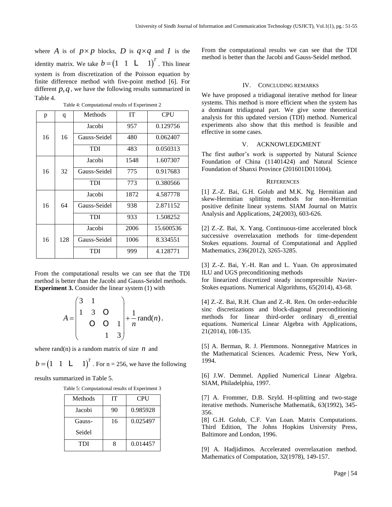where A is of  $p \times p$  blocks, D is  $q \times q$  and I is the identity matrix. We take  $b = \begin{pmatrix} 1 & 1 & \perp & 1 \end{pmatrix}^T$ . This linear system is from discretization of the Poisson equation by finite difference method with five-point method [6]. For different  $p, q$ , we have the following results summarized in Table 4.

| p  | q   | Methods      | <b>IT</b> | <b>CPU</b> |
|----|-----|--------------|-----------|------------|
| 16 | 16  | Jacobi       | 957       | 0.129756   |
|    |     | Gauss-Seidel | 480       | 0.062407   |
|    |     | TDI          | 483       | 0.050313   |
|    |     | Jacobi       | 1548      | 1.607307   |
| 16 | 32  | Gauss-Seidel | 775       | 0.917683   |
|    |     | <b>TDI</b>   | 773       | 0.380566   |
|    |     | Jacobi       | 1872      | 4.587778   |
| 16 | 64  | Gauss-Seidel | 938       | 2.871152   |
|    |     | TDI          | 933       | 1.508252   |
|    |     | Jacobi       | 2006      | 15.600536  |
| 16 | 128 | Gauss-Seidel | 1006      | 8.334551   |
|    |     | TDI          | 999       | 4.128771   |

Table 4: Computational results of Experiment 2

From the computational results we can see that the TDI method is better than the Jacobi and Gauss-Seidel methods. **Experiment 3.** Consider the linear system (1) with

$$
A = \begin{pmatrix} 3 & 1 & & \\ 1 & 3 & 0 & \\ & 0 & 0 & 1 \\ & & 1 & 3 \end{pmatrix} + \frac{1}{n} \text{rand}(n),
$$

where rand(n) is a random matrix of size  $n$  and

 $b = (1 \quad 1 \quad \text{L} \quad 1)^T$ . For n = 256, we have the following

results summarized in Table 5.

Table 5: Computational results of Experiment 3

| Methods | IТ | <b>CPU</b> |
|---------|----|------------|
| Jacobi  | 90 | 0.985928   |
| Gauss-  | 16 | 0.025497   |
| Seidel  |    |            |
| TDI     | 8  | 0.014457   |

From the computational results we can see that the TDI method is better than the Jacobi and Gauss-Seidel method.

### IV. CONCLUDING REMARKS

We have proposed a tridiagonal iterative method for linear systems. This method is more efficient when the system has a dominant tridiagonal part. We give some theoretical analysis for this updated version (TDI) method. Numerical experiments also show that this method is feasible and effective in some cases.

# V. ACKNOWLEDGMENT

The first author's work is supported by Natural Science Foundation of China (11401424) and Natural Science Foundation of Shanxi Province (201601D011004).

#### **REFERENCES**

[1] Z.-Z. Bai, G.H. Golub and M.K. Ng. Hermitian and skew-Hermitian splitting methods for non-Hermitian positive definite linear systems. SIAM Journal on Matrix Analysis and Applications, 24(2003), 603-626.

[2] Z.-Z. Bai, X. Yang. Continuous-time accelerated block successive overrelaxation methods for time-dependent Stokes equations. Journal of Computational and Applied Mathematics, 236(2012), 3265-3285.

[3] Z.-Z. Bai, Y.-H. Ran and L. Yuan. On approximated ILU and UGS preconditioning methods for linearized discretized steady incompressible Navier-Stokes equations. Numerical Algorithms, 65(2014), 43-68.

[4] Z.-Z. Bai, R.H. Chan and Z.-R. Ren. On order-reducible sinc discretizations and block-diagonal preconditioning methods for linear third-order ordinary di\_erential equations. Numerical Linear Algebra with Applications, 21(2014), 108-135.

[5] A. Berman, R. J. Plemmons. Nonnegative Matrices in the Mathematical Sciences. Academic Press, New York, 1994.

[6] J.W. Demmel. Applied Numerical Linear Algebra. SIAM, Philadelphia, 1997.

[7] A. Frommer, D.B. Szyld. H-splitting and two-stage iterative methods. Numerische Mathematik, 63(1992), 345- 356.

[8] G.H. Golub, C.F. Van Loan. Matrix Computations. Third Edition, The Johns Hopkins University Press, Baltimore and London, 1996.

[9] A. Hadjidimos. Accelerated overrelaxation method. Mathematics of Computation, 32(1978), 149-157.